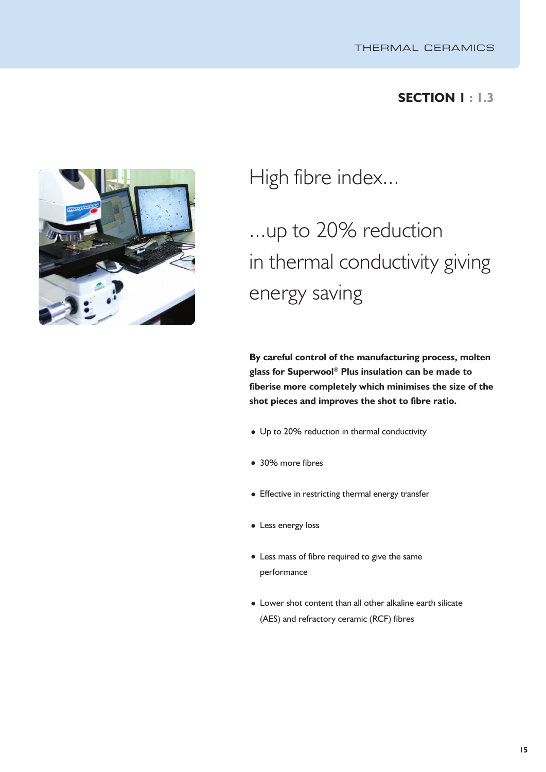## **SECTION 1 : 1.3**



High fibre index...

# ...up to 20% reduction in thermal conductivity giving energy saving

**By careful control of the manufacturing process, molten glass for Superwool ® Plus insulation can be made to fiberise more completely which minimises the size of the shot pieces and improves the shot to fibre ratio.**

- Up to 20% reduction in thermal conductivity
- 30% more fibres
- Effective in restricting thermal energy transfer
- Less energy loss
- Less mass of fibre required to give the same performance
- Lower shot content than all other alkaline earth silicate (AES) and refractory ceramic (RCF) fibres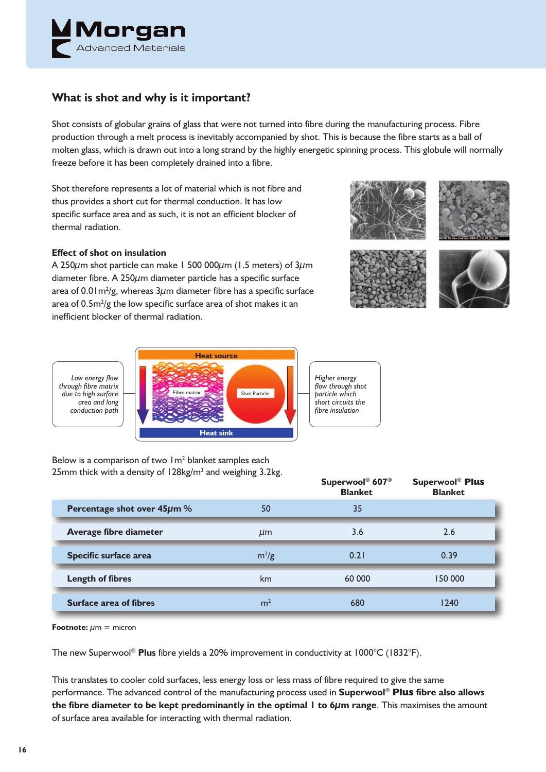

## **What is shot and why is it important?**

Shot consists of globular grains of glass that were not turned into fibre during the manufacturing process. Fibre production through a melt process is inevitably accompanied by shot. This is because the fibre starts as a ball of molten glass, which is drawn out into a long strand by the highly energetic spinning process. This globule will normally freeze before it has been completely drained into a fibre.

Shot therefore represents a lot of material which is not fibre and thus provides a short cut for thermal conduction. It has low specific surface area and as such, it is not an efficient blocker of thermal radiation.

#### **Effect of shot on insulation**

A 250 $\mu$ m shot particle can make 1 500 000 $\mu$ m (1.5 meters) of 3 $\mu$ m diameter fibre. A 250µm diameter particle has a specific surface area of 0.01m $^{2}/$ g, whereas 3 $\mu$ m diameter fibre has a specific surface area of  $0.5\mathrm{m}^2/\mathrm{g}$  the low specific surface area of shot makes it an inefficient blocker of thermal radiation.







*Low energy flow through fibre matrix due to high surface area and long conduction path*



Below is a comparison of two 1m2 blanket samples each 25mm thick with a density of  $128$ kg/m<sup>3</sup> and weighing 3.2kg.

|                               |                | Superwool <sup>®</sup> 607 <sup>®</sup><br><b>Blanket</b> | <b>Superwool® Plus</b><br><b>Blanket</b> |
|-------------------------------|----------------|-----------------------------------------------------------|------------------------------------------|
| Percentage shot over 45µm %   | 50             | 35                                                        |                                          |
| Average fibre diameter        | $\mu$ m        | 3.6                                                       | 2.6                                      |
| Specific surface area         | $m^2/g$        | 0.21                                                      | 0.39                                     |
| <b>Length of fibres</b>       | km             | 60 000                                                    | 150 000                                  |
| <b>Surface area of fibres</b> | m <sup>2</sup> | 680                                                       | 1240                                     |

**Footnote:**  $\mu$ m = micron

The new Superwool ® **Plus** fibre yields a 20% improvement in conductivity at 1000°C (1832°F).

This translates to cooler cold surfaces, less energy loss or less mass of fibre required to give the same performance. The advanced control of the manufacturing process used in **Superwool** ® **Plus fibre also allows the fibre diameter to be kept predominantly in the optimal 1 to 6µm range**. This maximises the amount of surface area available for interacting with thermal radiation.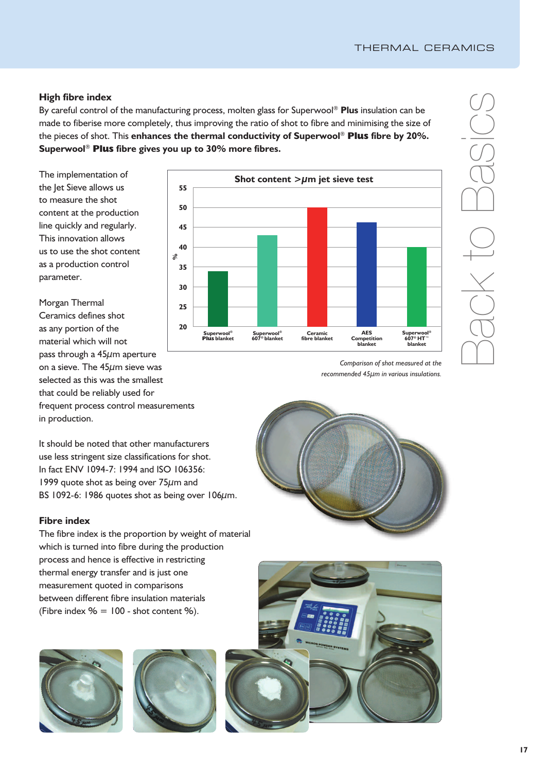### **High fibre index**

By careful control of the manufacturing process, molten glass for Superwool ® **Plus** insulation can be made to fiberise more completely, thus improving the ratio of shot to fibre and minimising the size of the pieces of shot. This **enhances the thermal conductivity of Superwool** ® **Plus fibre by 20%. Superwool** ® **Plus fibre gives you up to 30% more fibres.**

The implementation of the let Sieve allows us to measure the shot content at the production line quickly and regularly. This innovation allows us to use the shot content as a production control parameter.

Morgan Thermal Ceramics defines shot as any portion of the material which will not pass through a  $45\mu$ m aperture on a sieve. The 45µm sieve was selected as this was the smallest that could be reliably used for frequent process control measurements in production.

It should be noted that other manufacturers use less stringent size classifications for shot. In fact ENV 1094-7: 1994 and ISO 106356: 1999 quote shot as being over  $75\mu$ m and BS 1092-6: 1986 quotes shot as being over 106 $\mu$ m.

#### **Fibre index**

The fibre index is the proportion by weight of material which is turned into fibre during the production process and hence is effective in restricting thermal energy transfer and is just one measurement quoted in comparisons between different fibre insulation materials (Fibre index  $% = 100$  - shot content %).







 $\bigcap$  $\bigcirc$  $\bigcirc$  $\overline{\times}$  $\overline{\phantom{a}}$  $\bigcirc$  $\bigcap$  $\bigcirc$  $-\frac{C}{C}$  $\bigcirc$ 

*Comparison of shot measured at the recommended 45µm in various insulations.*